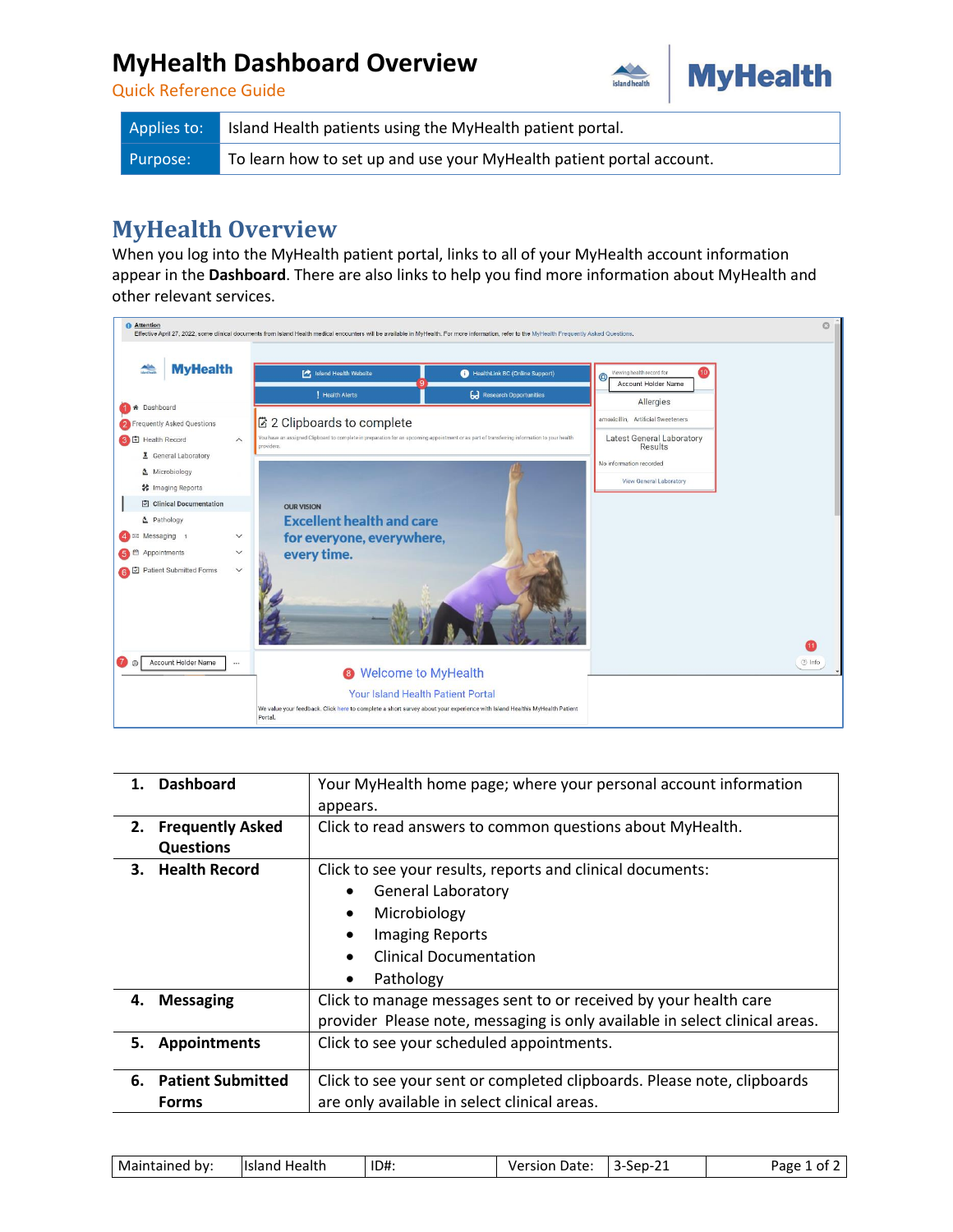## **MyHealth Dashboard Overview**



Quick Reference Guide

| Applies to: | Island Health patients using the MyHealth patient portal.            |
|-------------|----------------------------------------------------------------------|
| Purpose:    | To learn how to set up and use your MyHealth patient portal account. |

## **MyHealth Overview**

When you log into the MyHealth patient portal, links to all of your MyHealth account information appear in the **Dashboard**. There are also links to help you find more information about MyHealth and other relevant services.



|    | 1. Dashboard                                                                         | Your MyHealth home page; where your personal account information            |  |  |  |  |
|----|--------------------------------------------------------------------------------------|-----------------------------------------------------------------------------|--|--|--|--|
|    |                                                                                      | appears.                                                                    |  |  |  |  |
| 2. | <b>Frequently Asked</b>                                                              | Click to read answers to common questions about MyHealth.                   |  |  |  |  |
|    | <b>Questions</b>                                                                     |                                                                             |  |  |  |  |
| 3. | <b>Health Record</b>                                                                 | Click to see your results, reports and clinical documents:                  |  |  |  |  |
|    |                                                                                      | <b>General Laboratory</b>                                                   |  |  |  |  |
|    |                                                                                      | Microbiology<br>$\bullet$                                                   |  |  |  |  |
|    |                                                                                      | <b>Imaging Reports</b>                                                      |  |  |  |  |
|    |                                                                                      | <b>Clinical Documentation</b><br>$\bullet$                                  |  |  |  |  |
|    |                                                                                      | Pathology<br>$\bullet$                                                      |  |  |  |  |
| 4. | <b>Messaging</b><br>Click to manage messages sent to or received by your health care |                                                                             |  |  |  |  |
|    |                                                                                      | provider Please note, messaging is only available in select clinical areas. |  |  |  |  |
| 5. | <b>Appointments</b>                                                                  | Click to see your scheduled appointments.                                   |  |  |  |  |
|    |                                                                                      |                                                                             |  |  |  |  |
| 6. | <b>Patient Submitted</b>                                                             | Click to see your sent or completed clipboards. Please note, clipboards     |  |  |  |  |
|    | <b>Forms</b>                                                                         | are only available in select clinical areas.                                |  |  |  |  |

| ID#<br>Mai<br>llsland<br>u Health<br>bv:<br>-----<br>anec.<br>аны<br>___ | <u>.</u><br>Date<br>Jarc:<br>-sep<br>sion<br>--<br>-- | ape<br>า1 |
|--------------------------------------------------------------------------|-------------------------------------------------------|-----------|
|--------------------------------------------------------------------------|-------------------------------------------------------|-----------|